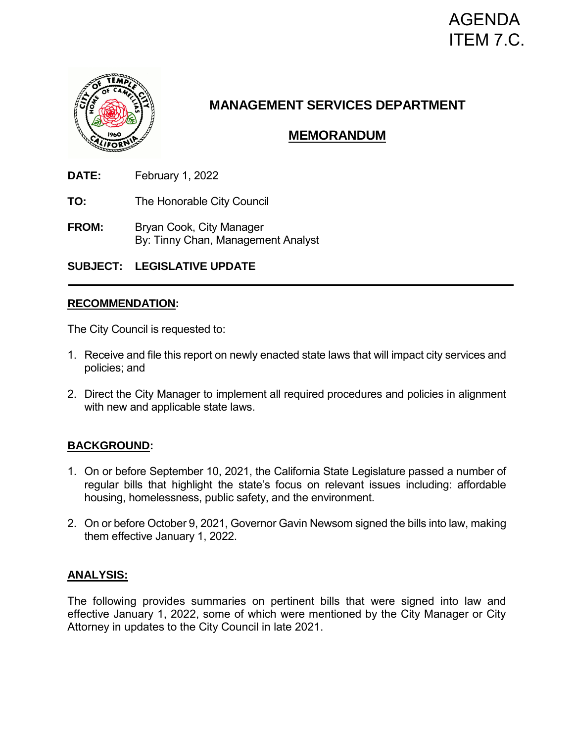# AGENDA ITEM 7.C.



# **MANAGEMENT SERVICES DEPARTMENT**

## **MEMORANDUM**

- **DATE:** February 1, 2022
- **TO:** The Honorable City Council
- **FROM:** Bryan Cook, City Manager By: Tinny Chan, Management Analyst

**SUBJECT: LEGISLATIVE UPDATE**

### **RECOMMENDATION:**

The City Council is requested to:

- 1. Receive and file this report on newly enacted state laws that will impact city services and policies; and
- 2. Direct the City Manager to implement all required procedures and policies in alignment with new and applicable state laws.

### **BACKGROUND:**

- 1. On or before September 10, 2021, the California State Legislature passed a number of regular bills that highlight the state's focus on relevant issues including: affordable housing, homelessness, public safety, and the environment.
- 2. On or before October 9, 2021, Governor Gavin Newsom signed the bills into law, making them effective January 1, 2022.

### **ANALYSIS:**

The following provides summaries on pertinent bills that were signed into law and effective January 1, 2022, some of which were mentioned by the City Manager or City Attorney in updates to the City Council in late 2021.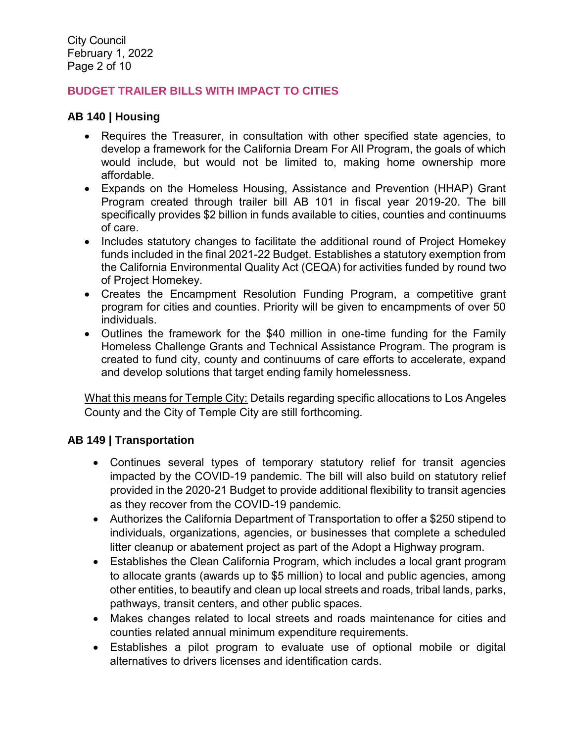City Council February 1, 2022 Page 2 of 10

#### **BUDGET TRAILER BILLS WITH IMPACT TO CITIES**

#### **AB 140 | Housing**

- Requires the Treasurer, in consultation with other specified state agencies, to develop a framework for the California Dream For All Program, the goals of which would include, but would not be limited to, making home ownership more affordable.
- Expands on the Homeless Housing, Assistance and Prevention (HHAP) Grant Program created through trailer bill AB 101 in fiscal year 2019-20. The bill specifically provides \$2 billion in funds available to cities, counties and continuums of care.
- Includes statutory changes to facilitate the additional round of Project Homekey funds included in the final 2021-22 Budget. Establishes a statutory exemption from the California Environmental Quality Act (CEQA) for activities funded by round two of Project Homekey.
- Creates the Encampment Resolution Funding Program, a competitive grant program for cities and counties. Priority will be given to encampments of over 50 individuals.
- Outlines the framework for the \$40 million in one-time funding for the Family Homeless Challenge Grants and Technical Assistance Program. The program is created to fund city, county and continuums of care efforts to accelerate, expand and develop solutions that target ending family homelessness.

What this means for Temple City: Details regarding specific allocations to Los Angeles County and the City of Temple City are still forthcoming.

#### **AB 149 | Transportation**

- Continues several types of temporary statutory relief for transit agencies impacted by the COVID-19 pandemic. The bill will also build on statutory relief provided in the 2020-21 Budget to provide additional flexibility to transit agencies as they recover from the COVID-19 pandemic.
- Authorizes the California Department of Transportation to offer a \$250 stipend to individuals, organizations, agencies, or businesses that complete a scheduled litter cleanup or abatement project as part of the Adopt a Highway program.
- Establishes the Clean California Program, which includes a local grant program to allocate grants (awards up to \$5 million) to local and public agencies, among other entities, to beautify and clean up local streets and roads, tribal lands, parks, pathways, transit centers, and other public spaces.
- Makes changes related to local streets and roads maintenance for cities and counties related annual minimum expenditure requirements.
- Establishes a pilot program to evaluate use of optional mobile or digital alternatives to drivers licenses and identification cards.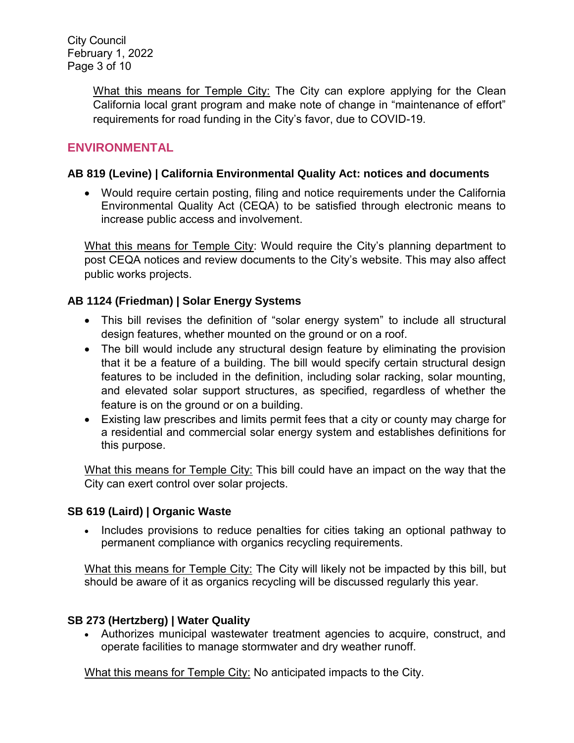What this means for Temple City: The City can explore applying for the Clean California local grant program and make note of change in "maintenance of effort" requirements for road funding in the City's favor, due to COVID-19.

### **ENVIRONMENTAL**

### **AB 819 (Levine) | California Environmental Quality Act: notices and documents**

 Would require certain posting, filing and notice requirements under the California Environmental Quality Act (CEQA) to be satisfied through electronic means to increase public access and involvement.

What this means for Temple City: Would require the City's planning department to post CEQA notices and review documents to the City's website. This may also affect public works projects.

### **AB 1124 (Friedman) | Solar Energy Systems**

- This bill revises the definition of "solar energy system" to include all structural design features, whether mounted on the ground or on a roof.
- The bill would include any structural design feature by eliminating the provision that it be a feature of a building. The bill would specify certain structural design features to be included in the definition, including solar racking, solar mounting, and elevated solar support structures, as specified, regardless of whether the feature is on the ground or on a building.
- Existing law prescribes and limits permit fees that a city or county may charge for a residential and commercial solar energy system and establishes definitions for this purpose.

What this means for Temple City: This bill could have an impact on the way that the City can exert control over solar projects.

### **SB 619 (Laird) | Organic Waste**

• Includes provisions to reduce penalties for cities taking an optional pathway to permanent compliance with organics recycling requirements.

What this means for Temple City: The City will likely not be impacted by this bill, but should be aware of it as organics recycling will be discussed regularly this year.

### **SB 273 (Hertzberg) | Water Quality**

 Authorizes municipal wastewater treatment agencies to acquire, construct, and operate facilities to manage stormwater and dry weather runoff.

What this means for Temple City: No anticipated impacts to the City.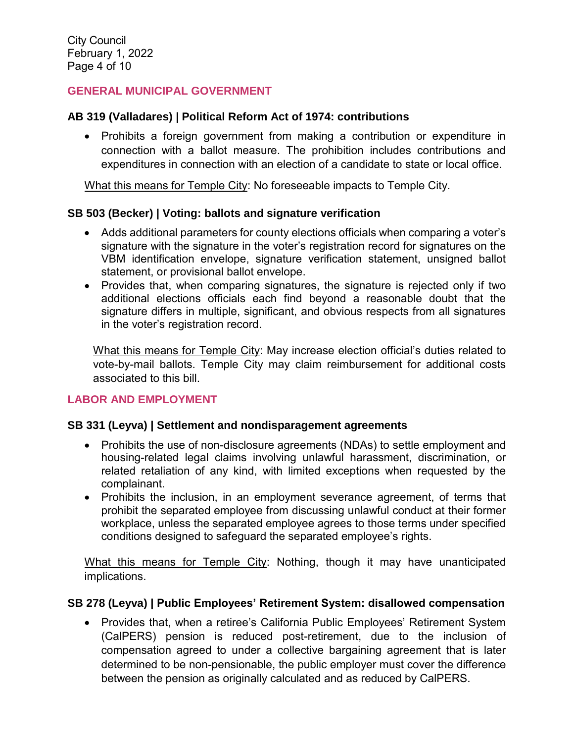#### **GENERAL MUNICIPAL GOVERNMENT**

#### **AB 319 (Valladares) | Political Reform Act of 1974: contributions**

• Prohibits a foreign government from making a contribution or expenditure in connection with a ballot measure. The prohibition includes contributions and expenditures in connection with an election of a candidate to state or local office.

What this means for Temple City: No foreseeable impacts to Temple City.

#### **SB 503 (Becker) | Voting: ballots and signature verification**

- Adds additional parameters for county elections officials when comparing a voter's signature with the signature in the voter's registration record for signatures on the VBM identification envelope, signature verification statement, unsigned ballot statement, or provisional ballot envelope.
- Provides that, when comparing signatures, the signature is rejected only if two additional elections officials each find beyond a reasonable doubt that the signature differs in multiple, significant, and obvious respects from all signatures in the voter's registration record.

What this means for Temple City: May increase election official's duties related to vote-by-mail ballots. Temple City may claim reimbursement for additional costs associated to this bill.

### **LABOR AND EMPLOYMENT**

#### **SB 331 (Leyva) | Settlement and nondisparagement agreements**

- Prohibits the use of non-disclosure agreements (NDAs) to settle employment and housing-related legal claims involving unlawful harassment, discrimination, or related retaliation of any kind, with limited exceptions when requested by the complainant.
- Prohibits the inclusion, in an employment severance agreement, of terms that prohibit the separated employee from discussing unlawful conduct at their former workplace, unless the separated employee agrees to those terms under specified conditions designed to safeguard the separated employee's rights.

What this means for Temple City: Nothing, though it may have unanticipated implications.

#### **SB 278 (Leyva) | Public Employees' Retirement System: disallowed compensation**

• Provides that, when a retiree's California Public Employees' Retirement System (CalPERS) pension is reduced post-retirement, due to the inclusion of compensation agreed to under a collective bargaining agreement that is later determined to be non-pensionable, the public employer must cover the difference between the pension as originally calculated and as reduced by CalPERS.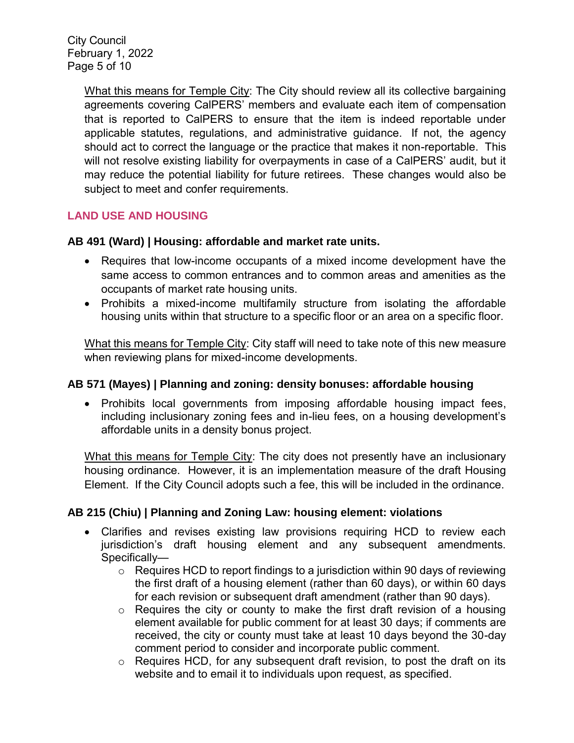What this means for Temple City: The City should review all its collective bargaining agreements covering CalPERS' members and evaluate each item of compensation that is reported to CalPERS to ensure that the item is indeed reportable under applicable statutes, regulations, and administrative guidance. If not, the agency should act to correct the language or the practice that makes it non-reportable. This will not resolve existing liability for overpayments in case of a CalPERS' audit, but it may reduce the potential liability for future retirees. These changes would also be subject to meet and confer requirements.

### **LAND USE AND HOUSING**

### **AB 491 (Ward) | Housing: affordable and market rate units.**

- Requires that low-income occupants of a mixed income development have the same access to common entrances and to common areas and amenities as the occupants of market rate housing units.
- Prohibits a mixed-income multifamily structure from isolating the affordable housing units within that structure to a specific floor or an area on a specific floor.

What this means for Temple City: City staff will need to take note of this new measure when reviewing plans for mixed-income developments.

### **AB 571 (Mayes) | Planning and zoning: density bonuses: affordable housing**

• Prohibits local governments from imposing affordable housing impact fees, including inclusionary zoning fees and in-lieu fees, on a housing development's affordable units in a density bonus project.

What this means for Temple City: The city does not presently have an inclusionary housing ordinance. However, it is an implementation measure of the draft Housing Element. If the City Council adopts such a fee, this will be included in the ordinance.

### **AB 215 (Chiu) | Planning and Zoning Law: housing element: violations**

- Clarifies and revises existing law provisions requiring HCD to review each jurisdiction's draft housing element and any subsequent amendments. Specifically—
	- $\circ$  Requires HCD to report findings to a jurisdiction within 90 days of reviewing the first draft of a housing element (rather than 60 days), or within 60 days for each revision or subsequent draft amendment (rather than 90 days).
	- $\circ$  Requires the city or county to make the first draft revision of a housing element available for public comment for at least 30 days; if comments are received, the city or county must take at least 10 days beyond the 30-day comment period to consider and incorporate public comment.
	- o Requires HCD, for any subsequent draft revision, to post the draft on its website and to email it to individuals upon request, as specified.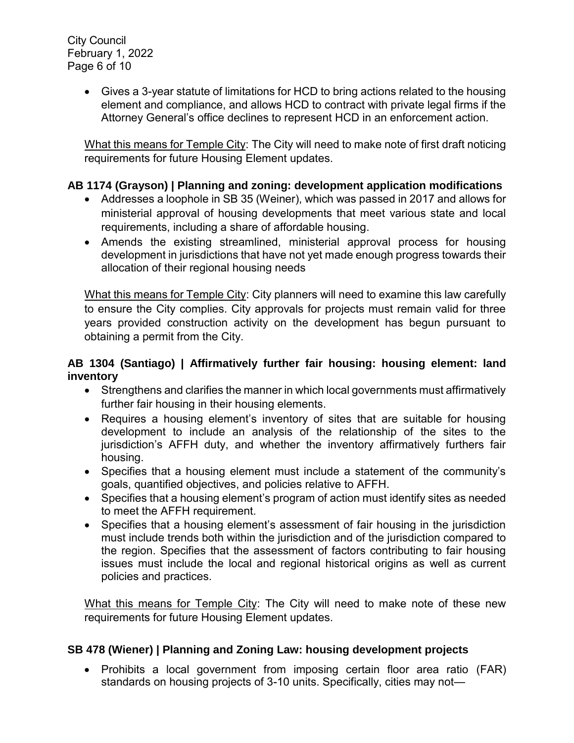City Council February 1, 2022 Page 6 of 10

> Gives a 3-year statute of limitations for HCD to bring actions related to the housing element and compliance, and allows HCD to contract with private legal firms if the Attorney General's office declines to represent HCD in an enforcement action.

> What this means for Temple City: The City will need to make note of first draft noticing requirements for future Housing Element updates.

### **AB 1174 (Grayson) | Planning and zoning: development application modifications**

- Addresses a loophole in SB 35 (Weiner), which was passed in 2017 and allows for ministerial approval of housing developments that meet various state and local requirements, including a share of affordable housing.
- Amends the existing streamlined, ministerial approval process for housing development in jurisdictions that have not yet made enough progress towards their allocation of their regional housing needs

What this means for Temple City: City planners will need to examine this law carefully to ensure the City complies. City approvals for projects must remain valid for three years provided construction activity on the development has begun pursuant to obtaining a permit from the City.

### **AB 1304 (Santiago) | Affirmatively further fair housing: housing element: land inventory**

- Strengthens and clarifies the manner in which local governments must affirmatively further fair housing in their housing elements.
- Requires a housing element's inventory of sites that are suitable for housing development to include an analysis of the relationship of the sites to the jurisdiction's AFFH duty, and whether the inventory affirmatively furthers fair housing.
- Specifies that a housing element must include a statement of the community's goals, quantified objectives, and policies relative to AFFH.
- Specifies that a housing element's program of action must identify sites as needed to meet the AFFH requirement.
- Specifies that a housing element's assessment of fair housing in the jurisdiction must include trends both within the jurisdiction and of the jurisdiction compared to the region. Specifies that the assessment of factors contributing to fair housing issues must include the local and regional historical origins as well as current policies and practices.

What this means for Temple City: The City will need to make note of these new requirements for future Housing Element updates.

### **SB 478 (Wiener) | Planning and Zoning Law: housing development projects**

• Prohibits a local government from imposing certain floor area ratio (FAR) standards on housing projects of 3-10 units. Specifically, cities may not—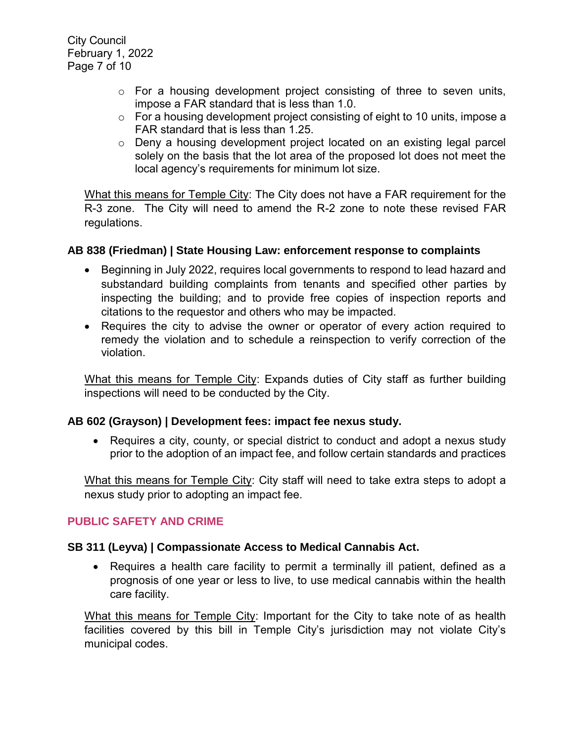- $\circ$  For a housing development project consisting of three to seven units, impose a FAR standard that is less than 1.0.
- $\circ$  For a housing development project consisting of eight to 10 units, impose a FAR standard that is less than 1.25.
- $\circ$  Deny a housing development project located on an existing legal parcel solely on the basis that the lot area of the proposed lot does not meet the local agency's requirements for minimum lot size.

What this means for Temple City: The City does not have a FAR requirement for the R-3 zone. The City will need to amend the R-2 zone to note these revised FAR regulations.

### **AB 838 (Friedman) | State Housing Law: enforcement response to complaints**

- Beginning in July 2022, requires local governments to respond to lead hazard and substandard building complaints from tenants and specified other parties by inspecting the building; and to provide free copies of inspection reports and citations to the requestor and others who may be impacted.
- Requires the city to advise the owner or operator of every action required to remedy the violation and to schedule a reinspection to verify correction of the violation.

What this means for Temple City: Expands duties of City staff as further building inspections will need to be conducted by the City.

### **AB 602 (Grayson) | Development fees: impact fee nexus study.**

• Requires a city, county, or special district to conduct and adopt a nexus study prior to the adoption of an impact fee, and follow certain standards and practices

What this means for Temple City: City staff will need to take extra steps to adopt a nexus study prior to adopting an impact fee.

### **PUBLIC SAFETY AND CRIME**

#### **SB 311 (Leyva) | Compassionate Access to Medical Cannabis Act.**

 Requires a health care facility to permit a terminally ill patient, defined as a prognosis of one year or less to live, to use medical cannabis within the health care facility.

What this means for Temple City: Important for the City to take note of as health facilities covered by this bill in Temple City's jurisdiction may not violate City's municipal codes.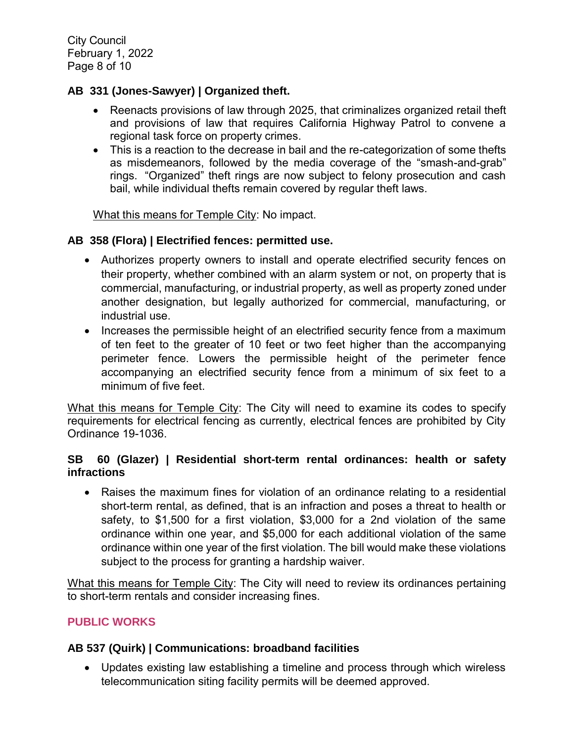City Council February 1, 2022 Page 8 of 10

### **AB 331 (Jones-Sawyer) | Organized theft.**

- Reenacts provisions of law through 2025, that criminalizes organized retail theft and provisions of law that requires California Highway Patrol to convene a regional task force on property crimes.
- This is a reaction to the decrease in bail and the re-categorization of some thefts as misdemeanors, followed by the media coverage of the "smash-and-grab" rings. "Organized" theft rings are now subject to felony prosecution and cash bail, while individual thefts remain covered by regular theft laws.

#### What this means for Temple City: No impact.

#### **AB 358 (Flora) | Electrified fences: permitted use.**

- Authorizes property owners to install and operate electrified security fences on their property, whether combined with an alarm system or not, on property that is commercial, manufacturing, or industrial property, as well as property zoned under another designation, but legally authorized for commercial, manufacturing, or industrial use.
- Increases the permissible height of an electrified security fence from a maximum of ten feet to the greater of 10 feet or two feet higher than the accompanying perimeter fence. Lowers the permissible height of the perimeter fence accompanying an electrified security fence from a minimum of six feet to a minimum of five feet.

What this means for Temple City: The City will need to examine its codes to specify requirements for electrical fencing as currently, electrical fences are prohibited by City Ordinance 19-1036.

#### **SB 60 (Glazer) | Residential short-term rental ordinances: health or safety infractions**

 Raises the maximum fines for violation of an ordinance relating to a residential short-term rental, as defined, that is an infraction and poses a threat to health or safety, to \$1,500 for a first violation, \$3,000 for a 2nd violation of the same ordinance within one year, and \$5,000 for each additional violation of the same ordinance within one year of the first violation. The bill would make these violations subject to the process for granting a hardship waiver.

What this means for Temple City: The City will need to review its ordinances pertaining to short-term rentals and consider increasing fines.

### **PUBLIC WORKS**

### **AB 537 (Quirk) | Communications: broadband facilities**

 Updates existing law establishing a timeline and process through which wireless telecommunication siting facility permits will be deemed approved.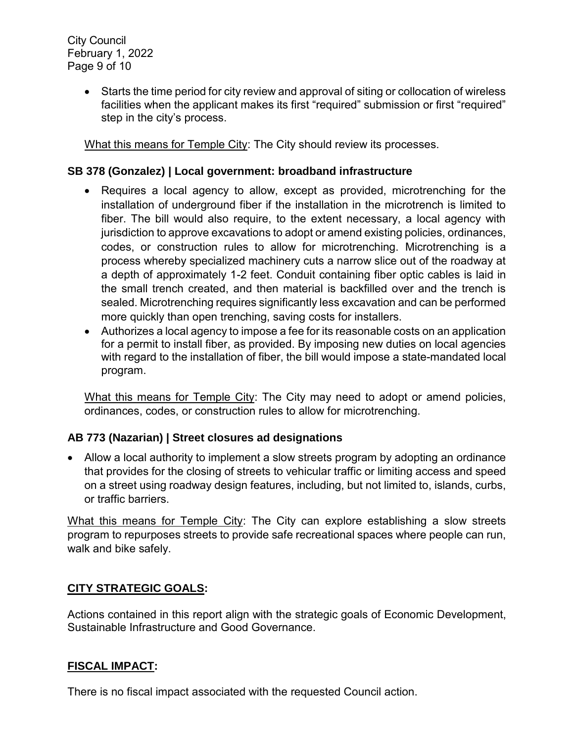City Council February 1, 2022 Page 9 of 10

> Starts the time period for city review and approval of siting or collocation of wireless facilities when the applicant makes its first "required" submission or first "required" step in the city's process.

What this means for Temple City: The City should review its processes.

#### **SB 378 (Gonzalez) | Local government: broadband infrastructure**

- Requires a local agency to allow, except as provided, microtrenching for the installation of underground fiber if the installation in the microtrench is limited to fiber. The bill would also require, to the extent necessary, a local agency with jurisdiction to approve excavations to adopt or amend existing policies, ordinances, codes, or construction rules to allow for microtrenching. Microtrenching is a process whereby specialized machinery cuts a narrow slice out of the roadway at a depth of approximately 1-2 feet. Conduit containing fiber optic cables is laid in the small trench created, and then material is backfilled over and the trench is sealed. Microtrenching requires significantly less excavation and can be performed more quickly than open trenching, saving costs for installers.
- Authorizes a local agency to impose a fee for its reasonable costs on an application for a permit to install fiber, as provided. By imposing new duties on local agencies with regard to the installation of fiber, the bill would impose a state-mandated local program.

What this means for Temple City: The City may need to adopt or amend policies, ordinances, codes, or construction rules to allow for microtrenching.

### **AB 773 (Nazarian) | Street closures ad designations**

• Allow a local authority to implement a slow streets program by adopting an ordinance that provides for the closing of streets to vehicular traffic or limiting access and speed on a street using roadway design features, including, but not limited to, islands, curbs, or traffic barriers.

What this means for Temple City: The City can explore establishing a slow streets program to repurposes streets to provide safe recreational spaces where people can run, walk and bike safely.

#### **CITY STRATEGIC GOALS:**

Actions contained in this report align with the strategic goals of Economic Development, Sustainable Infrastructure and Good Governance.

#### **FISCAL IMPACT:**

There is no fiscal impact associated with the requested Council action.